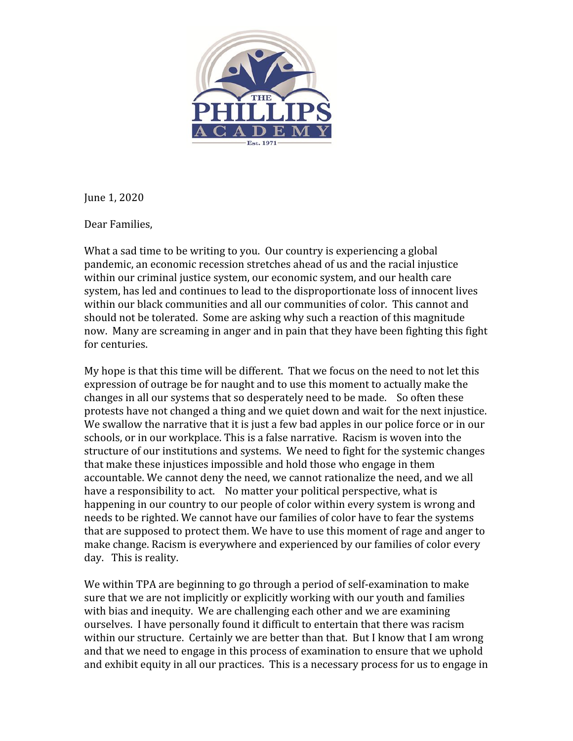

June 1, 2020

Dear Families,

What a sad time to be writing to you. Our country is experiencing a global pandemic, an economic recession stretches ahead of us and the racial injustice within our criminal justice system, our economic system, and our health care system, has led and continues to lead to the disproportionate loss of innocent lives within our black communities and all our communities of color. This cannot and should not be tolerated. Some are asking why such a reaction of this magnitude now. Many are screaming in anger and in pain that they have been fighting this fight for centuries.

My hope is that this time will be different. That we focus on the need to not let this expression of outrage be for naught and to use this moment to actually make the changes in all our systems that so desperately need to be made. So often these protests have not changed a thing and we quiet down and wait for the next injustice. We swallow the narrative that it is just a few bad apples in our police force or in our schools, or in our workplace. This is a false narrative. Racism is woven into the structure of our institutions and systems. We need to fight for the systemic changes that make these injustices impossible and hold those who engage in them accountable. We cannot deny the need, we cannot rationalize the need, and we all have a responsibility to act. No matter your political perspective, what is happening in our country to our people of color within every system is wrong and needs to be righted. We cannot have our families of color have to fear the systems that are supposed to protect them. We have to use this moment of rage and anger to make change. Racism is everywhere and experienced by our families of color every day. This is reality.

We within TPA are beginning to go through a period of self-examination to make sure that we are not implicitly or explicitly working with our youth and families with bias and inequity. We are challenging each other and we are examining ourselves. I have personally found it difficult to entertain that there was racism within our structure. Certainly we are better than that. But I know that I am wrong and that we need to engage in this process of examination to ensure that we uphold and exhibit equity in all our practices. This is a necessary process for us to engage in